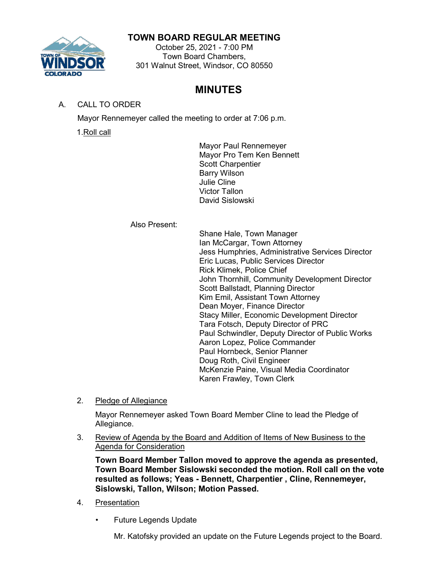# **TOWN BOARD REGULAR MEETING**

October 25, 2021 - 7:00 PM Town Board Chambers, 301 Walnut Street, Windsor, CO 80550

# **MINUTES**

# A. CALL TO ORDER

Mayor Rennemeyer called the meeting to order at 7:06 p.m.

1.Roll call

Mayor Paul Rennemeyer Mayor Pro Tem Ken Bennett Scott Charpentier Barry Wilson Julie Cline Victor Tallon David Sislowski

Also Present:

Shane Hale, Town Manager Ian McCargar, Town Attorney Jess Humphries, Administrative Services Director Eric Lucas, Public Services Director Rick Klimek, Police Chief John Thornhill, Community Development Director Scott Ballstadt, Planning Director Kim Emil, Assistant Town Attorney Dean Moyer, Finance Director Stacy Miller, Economic Development Director Tara Fotsch, Deputy Director of PRC Paul Schwindler, Deputy Director of Public Works Aaron Lopez, Police Commander Paul Hornbeck, Senior Planner Doug Roth, Civil Engineer McKenzie Paine, Visual Media Coordinator Karen Frawley, Town Clerk

2. Pledge of Allegiance

Mayor Rennemeyer asked Town Board Member Cline to lead the Pledge of Allegiance.

3. Review of Agenda by the Board and Addition of Items of New Business to the Agenda for Consideration

**Town Board Member Tallon moved to approve the agenda as presented, Town Board Member Sislowski seconded the motion. Roll call on the vote resulted as follows; Yeas - Bennett, Charpentier , Cline, Rennemeyer, Sislowski, Tallon, Wilson; Motion Passed.**

- 4. Presentation
	- Future Legends Update

Mr. Katofsky provided an update on the Future Legends project to the Board.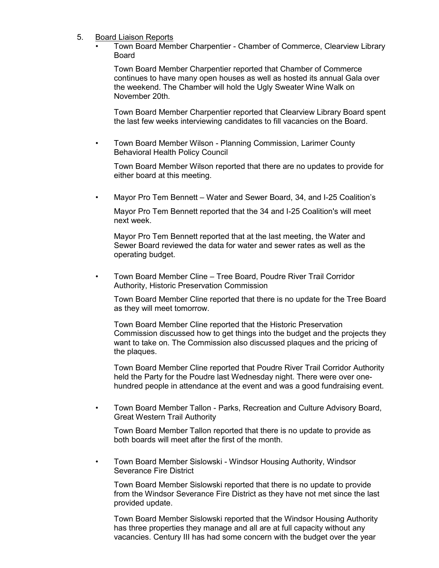- 5. Board Liaison Reports
	- Town Board Member Charpentier Chamber of Commerce, Clearview Library Board

Town Board Member Charpentier reported that Chamber of Commerce continues to have many open houses as well as hosted its annual Gala over the weekend. The Chamber will hold the Ugly Sweater Wine Walk on November 20th.

Town Board Member Charpentier reported that Clearview Library Board spent the last few weeks interviewing candidates to fill vacancies on the Board.

• Town Board Member Wilson - Planning Commission, Larimer County Behavioral Health Policy Council

Town Board Member Wilson reported that there are no updates to provide for either board at this meeting.

• Mayor Pro Tem Bennett – Water and Sewer Board, 34, and I-25 Coalition's

Mayor Pro Tem Bennett reported that the 34 and I-25 Coalition's will meet next week.

Mayor Pro Tem Bennett reported that at the last meeting, the Water and Sewer Board reviewed the data for water and sewer rates as well as the operating budget.

• Town Board Member Cline – Tree Board, Poudre River Trail Corridor Authority, Historic Preservation Commission

Town Board Member Cline reported that there is no update for the Tree Board as they will meet tomorrow.

Town Board Member Cline reported that the Historic Preservation Commission discussed how to get things into the budget and the projects they want to take on. The Commission also discussed plaques and the pricing of the plaques.

Town Board Member Cline reported that Poudre River Trail Corridor Authority held the Party for the Poudre last Wednesday night. There were over onehundred people in attendance at the event and was a good fundraising event.

• Town Board Member Tallon - Parks, Recreation and Culture Advisory Board, Great Western Trail Authority

Town Board Member Tallon reported that there is no update to provide as both boards will meet after the first of the month.

• Town Board Member Sislowski - Windsor Housing Authority, Windsor Severance Fire District

Town Board Member Sislowski reported that there is no update to provide from the Windsor Severance Fire District as they have not met since the last provided update.

Town Board Member Sislowski reported that the Windsor Housing Authority has three properties they manage and all are at full capacity without any vacancies. Century III has had some concern with the budget over the year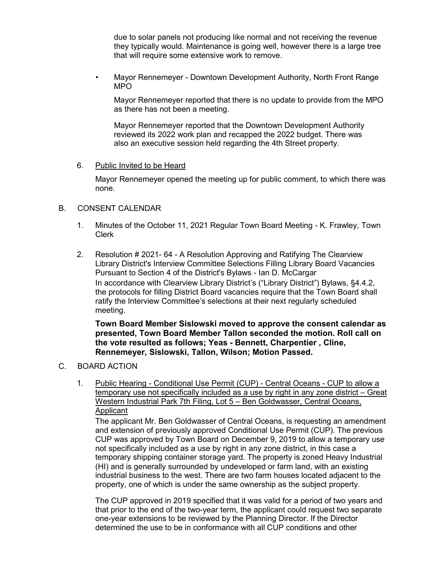due to solar panels not producing like normal and not receiving the revenue they typically would. Maintenance is going well, however there is a large tree that will require some extensive work to remove.

• Mayor Rennemeyer - Downtown Development Authority, North Front Range MPO

Mayor Rennemeyer reported that there is no update to provide from the MPO as there has not been a meeting.

Mayor Rennemeyer reported that the Downtown Development Authority reviewed its 2022 work plan and recapped the 2022 budget. There was also an executive session held regarding the 4th Street property.

# 6. Public Invited to be Heard

Mayor Rennemeyer opened the meeting up for public comment, to which there was none.

# B. CONSENT CALENDAR

- 1. Minutes of the October 11, 2021 Regular Town Board Meeting K. Frawley, Town Clerk
- 2. Resolution # 2021- 64 A Resolution Approving and Ratifying The Clearview Library District's Interview Committee Selections Filling Library Board Vacancies Pursuant to Section 4 of the District's Bylaws - Ian D. McCargar In accordance with Clearview Library District's ("Library District") Bylaws, §4.4.2, the protocols for filling District Board vacancies require that the Town Board shall ratify the Interview Committee's selections at their next regularly scheduled meeting.

**Town Board Member Sislowski moved to approve the consent calendar as presented, Town Board Member Tallon seconded the motion. Roll call on the vote resulted as follows; Yeas - Bennett, Charpentier , Cline, Rennemeyer, Sislowski, Tallon, Wilson; Motion Passed.**

- C. BOARD ACTION
	- 1. Public Hearing Conditional Use Permit (CUP) Central Oceans CUP to allow a temporary use not specifically included as a use by right in any zone district – Great Western Industrial Park 7th Filing, Lot 5 – Ben Goldwasser, Central Oceans, Applicant

The applicant Mr. Ben Goldwasser of Central Oceans, is requesting an amendment and extension of previously approved Conditional Use Permit (CUP). The previous CUP was approved by Town Board on December 9, 2019 to allow a temporary use not specifically included as a use by right in any zone district, in this case a temporary shipping container storage yard. The property is zoned Heavy Industrial (HI) and is generally surrounded by undeveloped or farm land, with an existing industrial business to the west. There are two farm houses located adjacent to the property, one of which is under the same ownership as the subject property.

The CUP approved in 2019 specified that it was valid for a period of two years and that prior to the end of the two-year term, the applicant could request two separate one-year extensions to be reviewed by the Planning Director. If the Director determined the use to be in conformance with all CUP conditions and other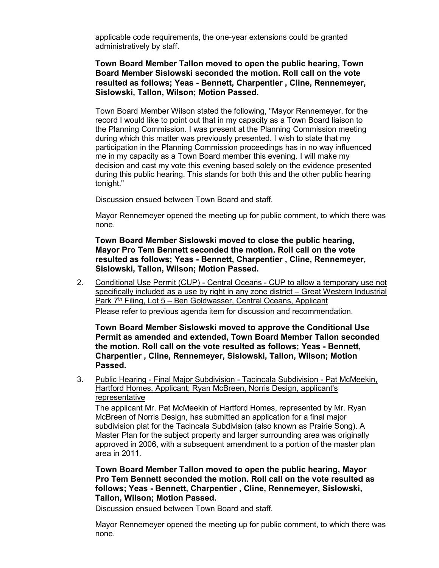applicable code requirements, the one-year extensions could be granted administratively by staff.

# **Town Board Member Tallon moved to open the public hearing, Town Board Member Sislowski seconded the motion. Roll call on the vote resulted as follows; Yeas - Bennett, Charpentier , Cline, Rennemeyer, Sislowski, Tallon, Wilson; Motion Passed.**

Town Board Member Wilson stated the following, "Mayor Rennemeyer, for the record I would like to point out that in my capacity as a Town Board liaison to the Planning Commission. I was present at the Planning Commission meeting during which this matter was previously presented. I wish to state that my participation in the Planning Commission proceedings has in no way influenced me in my capacity as a Town Board member this evening. I will make my decision and cast my vote this evening based solely on the evidence presented during this public hearing. This stands for both this and the other public hearing tonight."

Discussion ensued between Town Board and staff.

Mayor Rennemeyer opened the meeting up for public comment, to which there was none.

**Town Board Member Sislowski moved to close the public hearing, Mayor Pro Tem Bennett seconded the motion. Roll call on the vote resulted as follows; Yeas - Bennett, Charpentier , Cline, Rennemeyer, Sislowski, Tallon, Wilson; Motion Passed.**

2. Conditional Use Permit (CUP) - Central Oceans - CUP to allow a temporary use not specifically included as a use by right in any zone district – Great Western Industrial Park 7<sup>th</sup> Filing, Lot 5 – Ben Goldwasser, Central Oceans, Applicant Please refer to previous agenda item for discussion and recommendation.

**Town Board Member Sislowski moved to approve the Conditional Use Permit as amended and extended, Town Board Member Tallon seconded the motion. Roll call on the vote resulted as follows; Yeas - Bennett, Charpentier , Cline, Rennemeyer, Sislowski, Tallon, Wilson; Motion Passed.**

3. Public Hearing - Final Major Subdivision - Tacincala Subdivision - Pat McMeekin, Hartford Homes, Applicant; Ryan McBreen, Norris Design, applicant's representative

The applicant Mr. Pat McMeekin of Hartford Homes, represented by Mr. Ryan McBreen of Norris Design, has submitted an application for a final major subdivision plat for the Tacincala Subdivision (also known as Prairie Song). A Master Plan for the subject property and larger surrounding area was originally approved in 2006, with a subsequent amendment to a portion of the master plan area in 2011.

**Town Board Member Tallon moved to open the public hearing, Mayor Pro Tem Bennett seconded the motion. Roll call on the vote resulted as follows; Yeas - Bennett, Charpentier , Cline, Rennemeyer, Sislowski, Tallon, Wilson; Motion Passed.**

Discussion ensued between Town Board and staff.

Mayor Rennemeyer opened the meeting up for public comment, to which there was none.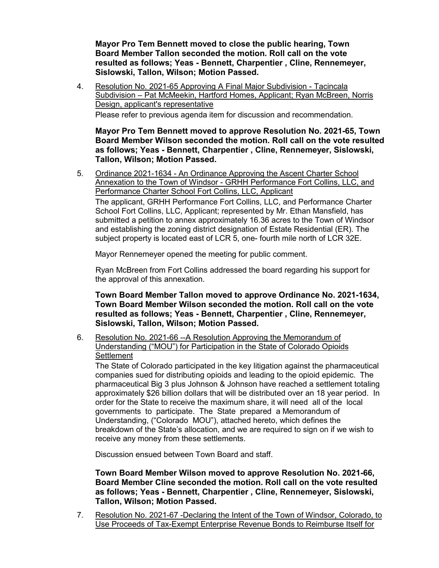**Mayor Pro Tem Bennett moved to close the public hearing, Town Board Member Tallon seconded the motion. Roll call on the vote resulted as follows; Yeas - Bennett, Charpentier , Cline, Rennemeyer, Sislowski, Tallon, Wilson; Motion Passed.**

4. Resolution No. 2021-65 Approving A Final Major Subdivision - Tacincala Subdivision – Pat McMeekin, Hartford Homes, Applicant; Ryan McBreen, Norris Design, applicant's representative Please refer to previous agenda item for discussion and recommendation.

**Mayor Pro Tem Bennett moved to approve Resolution No. 2021-65, Town Board Member Wilson seconded the motion. Roll call on the vote resulted as follows; Yeas - Bennett, Charpentier , Cline, Rennemeyer, Sislowski, Tallon, Wilson; Motion Passed.**

5. Ordinance 2021-1634 - An Ordinance Approving the Ascent Charter School Annexation to the Town of Windsor - GRHH Performance Fort Collins, LLC, and Performance Charter School Fort Collins, LLC, Applicant The applicant, GRHH Performance Fort Collins, LLC, and Performance Charter School Fort Collins, LLC, Applicant; represented by Mr. Ethan Mansfield, has submitted a petition to annex approximately 16.36 acres to the Town of Windsor and establishing the zoning district designation of Estate Residential (ER). The subject property is located east of LCR 5, one- fourth mile north of LCR 32E.

Mayor Rennemeyer opened the meeting for public comment.

Ryan McBreen from Fort Collins addressed the board regarding his support for the approval of this annexation.

**Town Board Member Tallon moved to approve Ordinance No. 2021-1634, Town Board Member Wilson seconded the motion. Roll call on the vote resulted as follows; Yeas - Bennett, Charpentier , Cline, Rennemeyer, Sislowski, Tallon, Wilson; Motion Passed.**

6. Resolution No. 2021-66 --A Resolution Approving the Memorandum of Understanding ("MOU") for Participation in the State of Colorado Opioids **Settlement** 

The State of Colorado participated in the key litigation against the pharmaceutical companies sued for distributing opioids and leading to the opioid epidemic. The pharmaceutical Big 3 plus Johnson & Johnson have reached a settlement totaling approximately \$26 billion dollars that will be distributed over an 18 year period. In order for the State to receive the maximum share, it will need all of the local governments to participate. The State prepared a Memorandum of Understanding, ("Colorado MOU"), attached hereto, which defines the breakdown of the State's allocation, and we are required to sign on if we wish to receive any money from these settlements.

Discussion ensued between Town Board and staff.

**Town Board Member Wilson moved to approve Resolution No. 2021-66, Board Member Cline seconded the motion. Roll call on the vote resulted as follows; Yeas - Bennett, Charpentier , Cline, Rennemeyer, Sislowski, Tallon, Wilson; Motion Passed.**

7. Resolution No. 2021-67 -Declaring the Intent of the Town of Windsor, Colorado, to Use Proceeds of Tax-Exempt Enterprise Revenue Bonds to Reimburse Itself for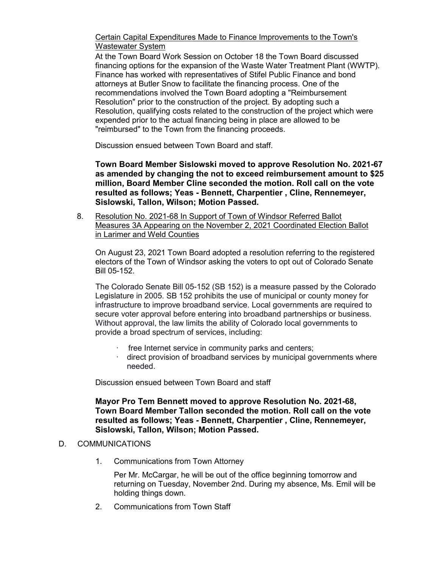Certain Capital Expenditures Made to Finance Improvements to the Town's Wastewater System

At the Town Board Work Session on October 18 the Town Board discussed financing options for the expansion of the Waste Water Treatment Plant (WWTP). Finance has worked with representatives of Stifel Public Finance and bond attorneys at Butler Snow to facilitate the financing process. One of the recommendations involved the Town Board adopting a "Reimbursement Resolution" prior to the construction of the project. By adopting such a Resolution, qualifying costs related to the construction of the project which were expended prior to the actual financing being in place are allowed to be "reimbursed" to the Town from the financing proceeds.

Discussion ensued between Town Board and staff.

**Town Board Member Sislowski moved to approve Resolution No. 2021-67 as amended by changing the not to exceed reimbursement amount to \$25 million, Board Member Cline seconded the motion. Roll call on the vote resulted as follows; Yeas - Bennett, Charpentier , Cline, Rennemeyer, Sislowski, Tallon, Wilson; Motion Passed.**

8. Resolution No. 2021-68 In Support of Town of Windsor Referred Ballot Measures 3A Appearing on the November 2, 2021 Coordinated Election Ballot in Larimer and Weld Counties

On August 23, 2021 Town Board adopted a resolution referring to the registered electors of the Town of Windsor asking the voters to opt out of Colorado Senate Bill 05-152.

The Colorado Senate Bill 05-152 (SB 152) is a measure passed by the Colorado Legislature in 2005. SB 152 prohibits the use of municipal or county money for infrastructure to improve broadband service. Local governments are required to secure voter approval before entering into broadband partnerships or business. Without approval, the law limits the ability of Colorado local governments to provide a broad spectrum of services, including:

- free Internet service in community parks and centers;
- $\cdot$  direct provision of broadband services by municipal governments where needed.

Discussion ensued between Town Board and staff

**Mayor Pro Tem Bennett moved to approve Resolution No. 2021-68, Town Board Member Tallon seconded the motion. Roll call on the vote resulted as follows; Yeas - Bennett, Charpentier , Cline, Rennemeyer, Sislowski, Tallon, Wilson; Motion Passed.**

# D. COMMUNICATIONS

1. Communications from Town Attorney

Per Mr. McCargar, he will be out of the office beginning tomorrow and returning on Tuesday, November 2nd. During my absence, Ms. Emil will be holding things down.

2. Communications from Town Staff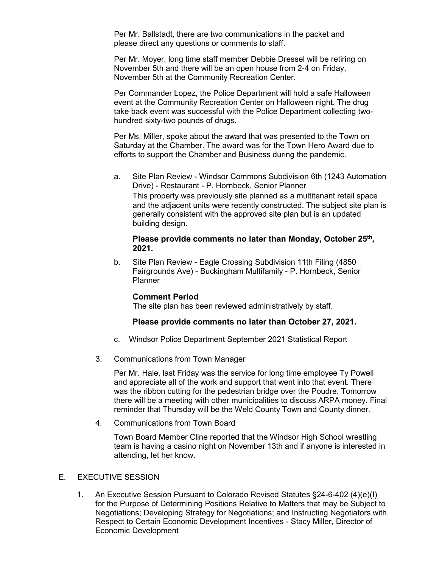Per Mr. Ballstadt, there are two communications in the packet and please direct any questions or comments to staff.

Per Mr. Moyer, long time staff member Debbie Dressel will be retiring on November 5th and there will be an open house from 2-4 on Friday, November 5th at the Community Recreation Center.

Per Commander Lopez, the Police Department will hold a safe Halloween event at the Community Recreation Center on Halloween night. The drug take back event was successful with the Police Department collecting twohundred sixty-two pounds of drugs.

Per Ms. Miller, spoke about the award that was presented to the Town on Saturday at the Chamber. The award was for the Town Hero Award due to efforts to support the Chamber and Business during the pandemic.

a. Site Plan Review - Windsor Commons Subdivision 6th (1243 Automation Drive) - Restaurant - P. Hornbeck, Senior Planner

This property was previously site planned as a multitenant retail space and the adjacent units were recently constructed. The subject site plan is generally consistent with the approved site plan but is an updated building design.

### **Please provide comments no later than Monday, October 25th, 2021.**

b. Site Plan Review - Eagle Crossing Subdivision 11th Filing (4850 Fairgrounds Ave) - Buckingham Multifamily - P. Hornbeck, Senior Planner

#### **Comment Period**

The site plan has been reviewed administratively by staff.

#### **Please provide comments no later than October 27, 2021.**

- c. Windsor Police Department September 2021 Statistical Report
- 3. Communications from Town Manager

Per Mr. Hale, last Friday was the service for long time employee Ty Powell and appreciate all of the work and support that went into that event. There was the ribbon cutting for the pedestrian bridge over the Poudre. Tomorrow there will be a meeting with other municipalities to discuss ARPA money. Final reminder that Thursday will be the Weld County Town and County dinner.

4. Communications from Town Board

Town Board Member Cline reported that the Windsor High School wrestling team is having a casino night on November 13th and if anyone is interested in attending, let her know.

#### E. EXECUTIVE SESSION

1. An Executive Session Pursuant to Colorado Revised Statutes §24-6-402 (4)(e)(I) for the Purpose of Determining Positions Relative to Matters that may be Subject to Negotiations; Developing Strategy for Negotiations; and Instructing Negotiators with Respect to Certain Economic Development Incentives - Stacy Miller, Director of Economic Development